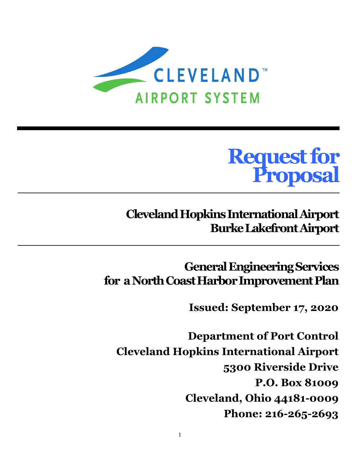

# **Request for Proposal**

# **Cleveland Hopkins International Airport Burke LakefrontAirport**

**General Engineering Services for a North Coast Harbor Improvement Plan**

**Issued: September 17, 2020**

**Department of Port Control Cleveland Hopkins International Airport 5300 Riverside Drive P.O. Box 81009 Cleveland, Ohio 44181-0009 Phone: 216-265-2693**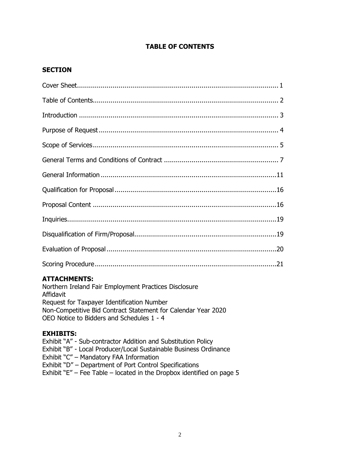# **TABLE OF CONTENTS**

# **SECTION**

# **ATTACHMENTS:**

Northern Ireland Fair Employment Practices Disclosure Affidavit Request for Taxpayer Identification Number Non-Competitive Bid Contract Statement for Calendar Year 2020 OEO Notice to Bidders and Schedules 1 - 4

# **EXHIBITS:**

Exhibit "A" - Sub-contractor Addition and Substitution Policy Exhibit "B" - Local Producer/Local Sustainable Business Ordinance Exhibit "C" – Mandatory FAA Information Exhibit "D" – Department of Port Control Specifications Exhibit " $E$ " – Fee Table – located in the Dropbox identified on page 5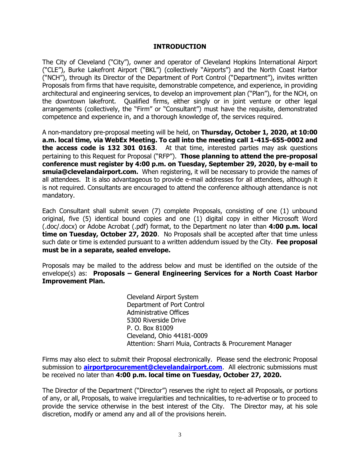#### **INTRODUCTION**

The City of Cleveland ("City"), owner and operator of Cleveland Hopkins International Airport ("CLE"), Burke Lakefront Airport ("BKL") (collectively "Airports") and the North Coast Harbor ("NCH"), through its Director of the Department of Port Control ("Department"), invites written Proposals from firms that have requisite, demonstrable competence, and experience, in providing architectural and engineering services, to develop an improvement plan ("Plan"), for the NCH, on the downtown lakefront. Qualified firms, either singly or in joint venture or other legal arrangements (collectively, the "Firm" or "Consultant") must have the requisite, demonstrated competence and experience in, and a thorough knowledge of, the services required.

A non-mandatory pre-proposal meeting will be held, on **Thursday, October 1, 2020, at 10:00 a.m. local time, via WebEx Meeting. To call into the meeting call 1-415-655-0002 and the access code is 132 301 0163**. At that time, interested parties may ask questions pertaining to this Request for Proposal ("RFP"). **Those planning to attend the pre-proposal conference must register by 4:00 p.m. on Tuesday, September 29, 2020, by e-mail to smuia@clevelandairport.com.** When registering, it will be necessary to provide the names of all attendees. It is also advantageous to provide e-mail addresses for all attendees, although it is not required. Consultants are encouraged to attend the conference although attendance is not mandatory.

Each Consultant shall submit seven (7) complete Proposals, consisting of one (1) unbound original, five (5) identical bound copies and one (1) digital copy in either Microsoft Word (.doc/.docx) or Adobe Acrobat (.pdf) format, to the Department no later than **4:00 p.m. local time on Tuesday, October 27, 2020**. No Proposals shall be accepted after that time unless such date or time is extended pursuant to a written addendum issued by the City. **Fee proposal must be in a separate, sealed envelope.**

Proposals may be mailed to the address below and must be identified on the outside of the envelope(s) as: **Proposals – General Engineering Services for a North Coast Harbor Improvement Plan.** 

> Cleveland Airport System Department of Port Control Administrative Offices 5300 Riverside Drive P. O. Box 81009 Cleveland, Ohio 44181-0009 Attention: Sharri Muia, Contracts & Procurement Manager

Firms may also elect to submit their Proposal electronically. Please send the electronic Proposal submission to **[airportprocurement@clevelandairport.com](mailto:airportprocurement@clevelandairport.com)**. All electronic submissions must be received no later than **4:00 p.m. local time on Tuesday, October 27, 2020.**

The Director of the Department ("Director") reserves the right to reject all Proposals, or portions of any, or all, Proposals, to waive irregularities and technicalities, to re-advertise or to proceed to provide the service otherwise in the best interest of the City. The Director may, at his sole discretion, modify or amend any and all of the provisions herein.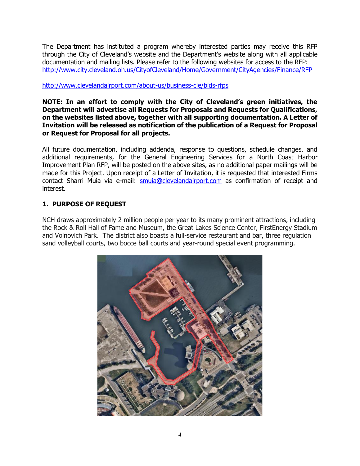The Department has instituted a program whereby interested parties may receive this RFP through the City of Cleveland's website and the Department's website along with all applicable documentation and mailing lists. Please refer to the following websites for access to the RFP: <http://www.city.cleveland.oh.us/CityofCleveland/Home/Government/CityAgencies/Finance/RFP>

# http://www.clevelandairport.com/about-us/business-cle/bids-rfps

#### **NOTE: In an effort to comply with the City of Cleveland's green initiatives, the Department will advertise all Requests for Proposals and Requests for Qualifications, on the websites listed above, together with all supporting documentation. A Letter of Invitation will be released as notification of the publication of a Request for Proposal or Request for Proposal for all projects.**

All future documentation, including addenda, response to questions, schedule changes, and additional requirements, for the General Engineering Services for a North Coast Harbor Improvement Plan RFP, will be posted on the above sites, as no additional paper mailings will be made for this Project. Upon receipt of a Letter of Invitation, it is requested that interested Firms contact Sharri Muia via e-mail: [smuia@clevelandairport.com](mailto:smuia@clevelandairport.com) as confirmation of receipt and interest.

# **1. PURPOSE OF REQUEST**

NCH draws approximately 2 million people per year to its many prominent attractions, including the Rock & Roll Hall of Fame and Museum, the Great Lakes Science Center, FirstEnergy Stadium and Voinovich Park. The district also boasts a full-service restaurant and bar, three regulation sand volleyball courts, two bocce ball courts and year-round special event programming.

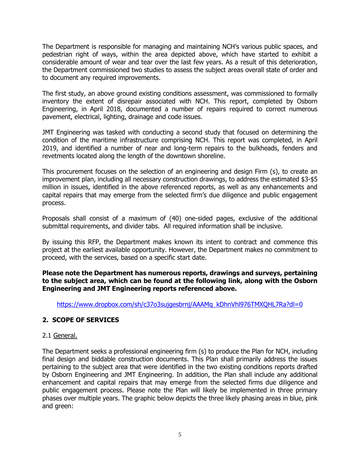The Department is responsible for managing and maintaining NCH's various public spaces, and pedestrian right of ways, within the area depicted above, which have started to exhibit a considerable amount of wear and tear over the last few years. As a result of this deterioration, the Department commissioned two studies to assess the subject areas overall state of order and to document any required improvements.

The first study, an above ground existing conditions assessment, was commissioned to formally inventory the extent of disrepair associated with NCH. This report, completed by Osborn Engineering, in April 2018, documented a number of repairs required to correct numerous pavement, electrical, lighting, drainage and code issues.

JMT Engineering was tasked with conducting a second study that focused on determining the condition of the maritime infrastructure comprising NCH. This report was completed, in April 2019, and identified a number of near and long-term repairs to the bulkheads, fenders and revetments located along the length of the downtown shoreline.

This procurement focuses on the selection of an engineering and design Firm (s), to create an improvement plan, including all necessary construction drawings, to address the estimated \$3-\$5 million in issues, identified in the above referenced reports, as well as any enhancements and capital repairs that may emerge from the selected firm's due diligence and public engagement process.

Proposals shall consist of a maximum of (40) one-sided pages, exclusive of the additional submittal requirements, and divider tabs. All required information shall be inclusive.

By issuing this RFP, the Department makes known its intent to contract and commence this project at the earliest available opportunity. However, the Department makes no commitment to proceed, with the services, based on a specific start date.

**Please note the Department has numerous reports, drawings and surveys, pertaining to the subject area, which can be found at the following link, along with the Osborn Engineering and JMT Engineering reports referenced above.** 

[https://www.dropbox.com/sh/c37o3sujgesbrnj/AAAMq\\_kDhnVhl976TMXQHL7Ra?dl=0](https://www.dropbox.com/sh/c37o3sujgesbrnj/AAAMq_kDhnVhl976TMXQHL7Ra?dl=0)

# **2. SCOPE OF SERVICES**

#### 2.1 General.

The Department seeks a professional engineering firm (s) to produce the Plan for NCH, including final design and biddable construction documents. This Plan shall primarily address the issues pertaining to the subject area that were identified in the two existing conditions reports drafted by Osborn Engineering and JMT Engineering. In addition, the Plan shall include any additional enhancement and capital repairs that may emerge from the selected firms due diligence and public engagement process. Please note the Plan will likely be implemented in three primary phases over multiple years. The graphic below depicts the three likely phasing areas in blue, pink and green: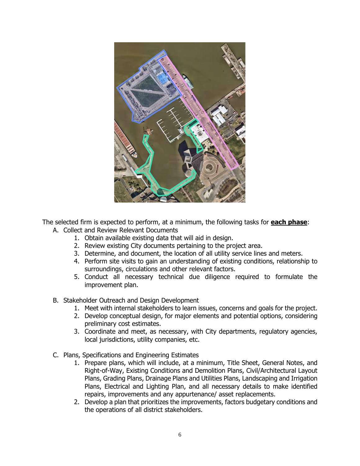

The selected firm is expected to perform, at a minimum, the following tasks for **each phase**:

- A. Collect and Review Relevant Documents
	- 1. Obtain available existing data that will aid in design.
	- 2. Review existing City documents pertaining to the project area.
	- 3. Determine, and document, the location of all utility service lines and meters.
	- 4. Perform site visits to gain an understanding of existing conditions, relationship to surroundings, circulations and other relevant factors.
	- 5. Conduct all necessary technical due diligence required to formulate the improvement plan.
- B. Stakeholder Outreach and Design Development
	- 1. Meet with internal stakeholders to learn issues, concerns and goals for the project.
	- 2. Develop conceptual design, for major elements and potential options, considering preliminary cost estimates.
	- 3. Coordinate and meet, as necessary, with City departments, regulatory agencies, local jurisdictions, utility companies, etc.
- C. Plans, Specifications and Engineering Estimates
	- 1. Prepare plans, which will include, at a minimum, Title Sheet, General Notes, and Right-of-Way, Existing Conditions and Demolition Plans, Civil/Architectural Layout Plans, Grading Plans, Drainage Plans and Utilities Plans, Landscaping and Irrigation Plans, Electrical and Lighting Plan, and all necessary details to make identified repairs, improvements and any appurtenance/ asset replacements.
	- 2. Develop a plan that prioritizes the improvements, factors budgetary conditions and the operations of all district stakeholders.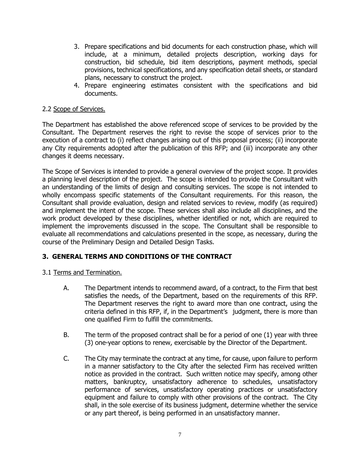- 3. Prepare specifications and bid documents for each construction phase, which will include, at a minimum, detailed projects description, working days for construction, bid schedule, bid item descriptions, payment methods, special provisions, technical specifications, and any specification detail sheets, or standard plans, necessary to construct the project.
- 4. Prepare engineering estimates consistent with the specifications and bid documents.

## 2.2 Scope of Services.

The Department has established the above referenced scope of services to be provided by the Consultant. The Department reserves the right to revise the scope of services prior to the execution of a contract to (i) reflect changes arising out of this proposal process; (ii) incorporate any City requirements adopted after the publication of this RFP; and (iii) incorporate any other changes it deems necessary.

The Scope of Services is intended to provide a general overview of the project scope. It provides a planning level description of the project. The scope is intended to provide the Consultant with an understanding of the limits of design and consulting services. The scope is not intended to wholly encompass specific statements of the Consultant requirements. For this reason, the Consultant shall provide evaluation, design and related services to review, modify (as required) and implement the intent of the scope. These services shall also include all disciplines, and the work product developed by these disciplines, whether identified or not, which are required to implement the improvements discussed in the scope. The Consultant shall be responsible to evaluate all recommendations and calculations presented in the scope, as necessary, during the course of the Preliminary Design and Detailed Design Tasks.

# **3. GENERAL TERMS AND CONDITIONS OF THE CONTRACT**

3.1 Terms and Termination.

- A. The Department intends to recommend award, of a contract, to the Firm that best satisfies the needs, of the Department, based on the requirements of this RFP. The Department reserves the right to award more than one contract, using the criteria defined in this RFP, if, in the Department's judgment, there is more than one qualified Firm to fulfill the commitments.
- B. The term of the proposed contract shall be for a period of one (1) year with three (3) one-year options to renew, exercisable by the Director of the Department.
- C. The City may terminate the contract at any time, for cause, upon failure to perform in a manner satisfactory to the City after the selected Firm has received written notice as provided in the contract. Such written notice may specify, among other matters, bankruptcy, unsatisfactory adherence to schedules, unsatisfactory performance of services, unsatisfactory operating practices or unsatisfactory equipment and failure to comply with other provisions of the contract. The City shall, in the sole exercise of its business judgment, determine whether the service or any part thereof, is being performed in an unsatisfactory manner.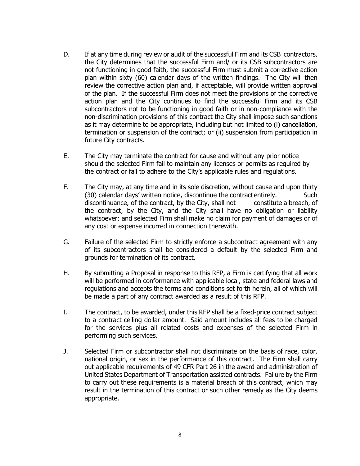- D. If at any time during review or audit of the successful Firm and its CSB contractors, the City determines that the successful Firm and/ or its CSB subcontractors are not functioning in good faith, the successful Firm must submit a corrective action plan within sixty (60) calendar days of the written findings. The City will then review the corrective action plan and, if acceptable, will provide written approval of the plan. If the successful Firm does not meet the provisions of the corrective action plan and the City continues to find the successful Firm and its CSB subcontractors not to be functioning in good faith or in non-compliance with the non-discrimination provisions of this contract the City shall impose such sanctions as it may determine to be appropriate, including but not limited to (i) cancellation, termination or suspension of the contract; or (ii) suspension from participation in future City contracts.
- E. The City may terminate the contract for cause and without any prior notice should the selected Firm fail to maintain any licenses or permits as required by the contract or fail to adhere to the City's applicable rules and regulations.
- F. The City may, at any time and in its sole discretion, without cause and upon thirty (30) calendar days' written notice, discontinue the contract entirely. Such discontinuance, of the contract, by the City, shall not constitute a breach, of the contract, by the City, and the City shall have no obligation or liability whatsoever; and selected Firm shall make no claim for payment of damages or of any cost or expense incurred in connection therewith.
- G. Failure of the selected Firm to strictly enforce a subcontract agreement with any of its subcontractors shall be considered a default by the selected Firm and grounds for termination of its contract.
- H. By submitting a Proposal in response to this RFP, a Firm is certifying that all work will be performed in conformance with applicable local, state and federal laws and regulations and accepts the terms and conditions set forth herein, all of which will be made a part of any contract awarded as a result of this RFP.
- I. The contract, to be awarded, under this RFP shall be a fixed-price contract subject to a contract ceiling dollar amount. Said amount includes all fees to be charged for the services plus all related costs and expenses of the selected Firm in performing such services.
- J. Selected Firm or subcontractor shall not discriminate on the basis of race, color, national origin, or sex in the performance of this contract. The Firm shall carry out applicable requirements of 49 CFR Part 26 in the award and administration of United States Department of Transportation assisted contracts. Failure by the Firm to carry out these requirements is a material breach of this contract, which may result in the termination of this contract or such other remedy as the City deems appropriate.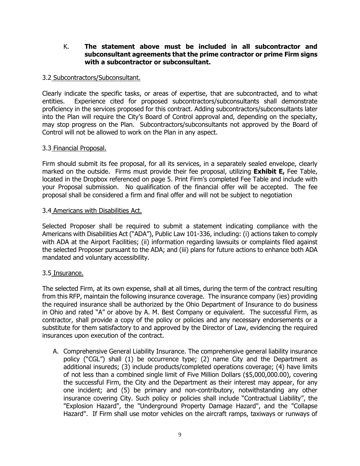## K. **The statement above must be included in all subcontractor and subconsultant agreements that the prime contractor or prime Firm signs with a subcontractor or subconsultant.**

## 3.2 Subcontractors/Subconsultant.

Clearly indicate the specific tasks, or areas of expertise, that are subcontracted, and to what entities. Experience cited for proposed subcontractors/subconsultants shall demonstrate proficiency in the services proposed for this contract. Adding subcontractors/subconsultants later into the Plan will require the City's Board of Control approval and, depending on the specialty, may stop progress on the Plan. Subcontractors/subconsultants not approved by the Board of Control will not be allowed to work on the Plan in any aspect.

## 3.3 Financial Proposal.

Firm should submit its fee proposal, for all its services, in a separately sealed envelope, clearly marked on the outside. Firms must provide their fee proposal, utilizing **Exhibit E,** Fee Table, located in the Dropbox referenced on page 5. Print Firm's completed Fee Table and include with your Proposal submission. No qualification of the financial offer will be accepted. The fee proposal shall be considered a firm and final offer and will not be subject to negotiation

#### 3.4 Americans with Disabilities Act.

Selected Proposer shall be required to submit a statement indicating compliance with the Americans with Disabilities Act ("ADA"), Public Law 101-336, including: (i) actions taken to comply with ADA at the Airport Facilities; (ii) information regarding lawsuits or complaints filed against the selected Proposer pursuant to the ADA; and (iii) plans for future actions to enhance both ADA mandated and voluntary accessibility.

#### 3.5 Insurance.

The selected Firm, at its own expense, shall at all times, during the term of the contract resulting from this RFP, maintain the following insurance coverage. The insurance company (ies) providing the required insurance shall be authorized by the Ohio Department of Insurance to do business in Ohio and rated "A" or above by A. M. Best Company or equivalent. The successful Firm, as contractor, shall provide a copy of the policy or policies and any necessary endorsements or a substitute for them satisfactory to and approved by the Director of Law, evidencing the required insurances upon execution of the contract.

A. Comprehensive General Liability Insurance. The comprehensive general liability insurance policy ("CGL") shall (1) be occurrence type; (2) name City and the Department as additional insureds; (3) include products/completed operations coverage; (4) have limits of not less than a combined single limit of Five Million Dollars (\$5,000,000.00), covering the successful Firm, the City and the Department as their interest may appear, for any one incident; and (5) be primary and non-contributory, notwithstanding any other insurance covering City. Such policy or policies shall include "Contractual Liability", the "Explosion Hazard", the "Underground Property Damage Hazard", and the "Collapse Hazard". If Firm shall use motor vehicles on the aircraft ramps, taxiways or runways of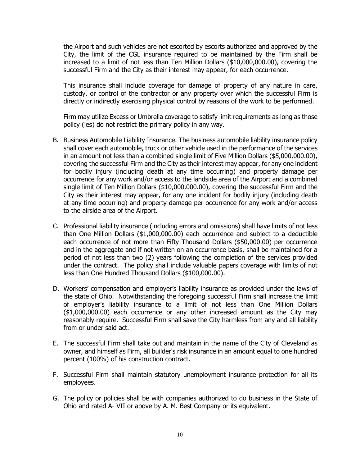the Airport and such vehicles are not escorted by escorts authorized and approved by the City, the limit of the CGL insurance required to be maintained by the Firm shall be increased to a limit of not less than Ten Million Dollars (\$10,000,000.00), covering the successful Firm and the City as their interest may appear, for each occurrence.

This insurance shall include coverage for damage of property of any nature in care, custody, or control of the contractor or any property over which the successful Firm is directly or indirectly exercising physical control by reasons of the work to be performed.

Firm may utilize Excess or Umbrella coverage to satisfy limit requirements as long as those policy (ies) do not restrict the primary policy in any way.

- B. Business Automobile Liability Insurance. The business automobile liability insurance policy shall cover each automobile, truck or other vehicle used in the performance of the services in an amount not less than a combined single limit of Five Million Dollars (\$5,000,000.00), covering the successful Firm and the City as their interest may appear, for any one incident for bodily injury (including death at any time occurring) and property damage per occurrence for any work and/or access to the landside area of the Airport and a combined single limit of Ten Million Dollars (\$10,000,000.00), covering the successful Firm and the City as their interest may appear, for any one incident for bodily injury (including death at any time occurring) and property damage per occurrence for any work and/or access to the airside area of the Airport.
- C. Professional liability insurance (including errors and omissions) shall have limits of not less than One Million Dollars (\$1,000,000.00) each occurrence and subject to a deductible each occurrence of not more than Fifty Thousand Dollars (\$50,000.00) per occurrence and in the aggregate and if not written on an occurrence basis, shall be maintained for a period of not less than two (2) years following the completion of the services provided under the contract. The policy shall include valuable papers coverage with limits of not less than One Hundred Thousand Dollars (\$100,000.00).
- D. Workers' compensation and employer's liability insurance as provided under the laws of the state of Ohio. Notwithstanding the foregoing successful Firm shall increase the limit of employer's liability insurance to a limit of not less than One Million Dollars (\$1,000,000.00) each occurrence or any other increased amount as the City may reasonably require. Successful Firm shall save the City harmless from any and all liability from or under said act.
- E. The successful Firm shall take out and maintain in the name of the City of Cleveland as owner, and himself as Firm, all builder's risk insurance in an amount equal to one hundred percent (100%) of his construction contract.
- F. Successful Firm shall maintain statutory unemployment insurance protection for all its employees.
- G. The policy or policies shall be with companies authorized to do business in the State of Ohio and rated A- VII or above by A. M. Best Company or its equivalent.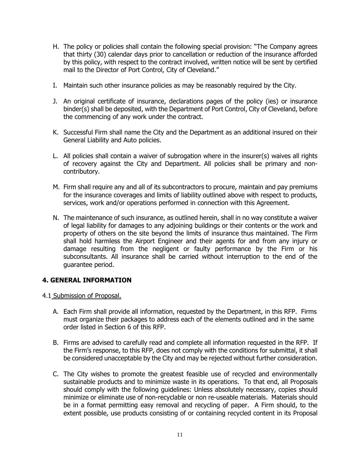- H. The policy or policies shall contain the following special provision: "The Company agrees that thirty (30) calendar days prior to cancellation or reduction of the insurance afforded by this policy, with respect to the contract involved, written notice will be sent by certified mail to the Director of Port Control, City of Cleveland."
- I. Maintain such other insurance policies as may be reasonably required by the City.
- J. An original certificate of insurance, declarations pages of the policy (ies) or insurance binder(s) shall be deposited, with the Department of Port Control, City of Cleveland, before the commencing of any work under the contract.
- K. Successful Firm shall name the City and the Department as an additional insured on their General Liability and Auto policies.
- L. All policies shall contain a waiver of subrogation where in the insurer(s) waives all rights of recovery against the City and Department. All policies shall be primary and noncontributory.
- M. Firm shall require any and all of its subcontractors to procure, maintain and pay premiums for the insurance coverages and limits of liability outlined above with respect to products, services, work and/or operations performed in connection with this Agreement.
- N. The maintenance of such insurance, as outlined herein, shall in no way constitute a waiver of legal liability for damages to any adjoining buildings or their contents or the work and property of others on the site beyond the limits of insurance thus maintained. The Firm shall hold harmless the Airport Engineer and their agents for and from any injury or damage resulting from the negligent or faulty performance by the Firm or his subconsultants. All insurance shall be carried without interruption to the end of the guarantee period.

# **4. GENERAL INFORMATION**

- 4.1 Submission of Proposal.
	- A. Each Firm shall provide all information, requested by the Department, in this RFP. Firms must organize their packages to address each of the elements outlined and in the same order listed in Section 6 of this RFP.
	- B. Firms are advised to carefully read and complete all information requested in the RFP. If the Firm's response, to this RFP, does not comply with the conditions for submittal, it shall be considered unacceptable by the City and may be rejected without further consideration.
	- C. The City wishes to promote the greatest feasible use of recycled and environmentally sustainable products and to minimize waste in its operations. To that end, all Proposals should comply with the following guidelines: Unless absolutely necessary, copies should minimize or eliminate use of non-recyclable or non re-useable materials. Materials should be in a format permitting easy removal and recycling of paper. A Firm should, to the extent possible, use products consisting of or containing recycled content in its Proposal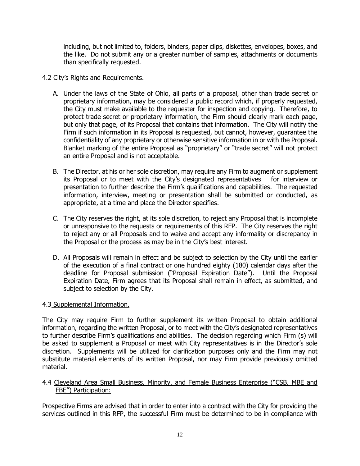including, but not limited to, folders, binders, paper clips, diskettes, envelopes, boxes, and the like. Do not submit any or a greater number of samples, attachments or documents than specifically requested.

# 4.2 City's Rights and Requirements.

- A. Under the laws of the State of Ohio, all parts of a proposal, other than trade secret or proprietary information, may be considered a public record which, if properly requested, the City must make available to the requester for inspection and copying. Therefore, to protect trade secret or proprietary information, the Firm should clearly mark each page, but only that page, of its Proposal that contains that information. The City will notify the Firm if such information in its Proposal is requested, but cannot, however, guarantee the confidentiality of any proprietary or otherwise sensitive information in or with the Proposal. Blanket marking of the entire Proposal as "proprietary" or "trade secret" will not protect an entire Proposal and is not acceptable.
- B. The Director, at his or her sole discretion, may require any Firm to augment or supplement its Proposal or to meet with the City's designated representatives for interview or presentation to further describe the Firm's qualifications and capabilities. The requested information, interview, meeting or presentation shall be submitted or conducted, as appropriate, at a time and place the Director specifies.
- C. The City reserves the right, at its sole discretion, to reject any Proposal that is incomplete or unresponsive to the requests or requirements of this RFP. The City reserves the right to reject any or all Proposals and to waive and accept any informality or discrepancy in the Proposal or the process as may be in the City's best interest.
- D. All Proposals will remain in effect and be subject to selection by the City until the earlier of the execution of a final contract or one hundred eighty (180) calendar days after the deadline for Proposal submission ("Proposal Expiration Date"). Until the Proposal Expiration Date, Firm agrees that its Proposal shall remain in effect, as submitted, and subject to selection by the City.

# 4.3 Supplemental Information.

The City may require Firm to further supplement its written Proposal to obtain additional information, regarding the written Proposal, or to meet with the City's designated representatives to further describe Firm's qualifications and abilities. The decision regarding which Firm (s) will be asked to supplement a Proposal or meet with City representatives is in the Director's sole discretion. Supplements will be utilized for clarification purposes only and the Firm may not substitute material elements of its written Proposal, nor may Firm provide previously omitted material.

#### 4.4 Cleveland Area Small Business, Minority, and Female Business Enterprise ("CSB, MBE and FBE") Participation:

Prospective Firms are advised that in order to enter into a contract with the City for providing the services outlined in this RFP, the successful Firm must be determined to be in compliance with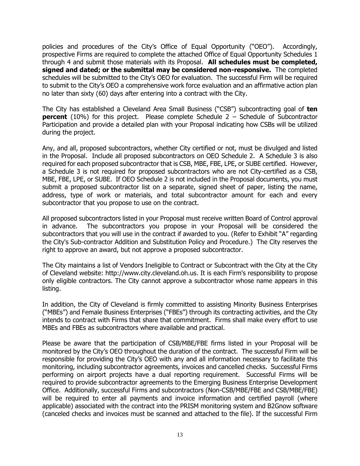policies and procedures of the City's Office of Equal Opportunity ("OEO"). Accordingly, prospective Firms are required to complete the attached Office of Equal Opportunity Schedules 1 through 4 and submit those materials with its Proposal. **All schedules must be completed, signed and dated; or the submittal may be considered non-responsive.** The completed schedules will be submitted to the City's OEO for evaluation. The successful Firm will be required to submit to the City's OEO a comprehensive work force evaluation and an affirmative action plan no later than sixty (60) days after entering into a contract with the City.

The City has established a Cleveland Area Small Business ("CSB") subcontracting goal of **ten percent** (10%) for this project. Please complete Schedule 2 – Schedule of Subcontractor Participation and provide a detailed plan with your Proposal indicating how CSBs will be utilized during the project.

Any, and all, proposed subcontractors, whether City certified or not, must be divulged and listed in the Proposal. Include all proposed subcontractors on OEO Schedule 2. A Schedule 3 is also required for each proposed subcontractor that is CSB, MBE, FBE, LPE, or SUBE certified. However, a Schedule 3 is not required for proposed subcontractors who are not City-certified as a CSB, MBE, FBE, LPE, or SUBE. If OEO Schedule 2 is not included in the Proposal documents, you must submit a proposed subcontractor list on a separate, signed sheet of paper, listing the name, address, type of work or materials, and total subcontractor amount for each and every subcontractor that you propose to use on the contract.

All proposed subcontractors listed in your Proposal must receive written Board of Control approval in advance. The subcontractors you propose in your Proposal will be considered the subcontractors that you will use in the contract if awarded to you. (Refer to Exhibit "A" regarding the City's Sub-contractor Addition and Substitution Policy and Procedure.) The City reserves the right to approve an award, but not approve a proposed subcontractor.

The City maintains a list of Vendors Ineligible to Contract or Subcontract with the City at the City of Cleveland website: http://www.city.cleveland.oh.us. It is each Firm's responsibility to propose only eligible contractors. The City cannot approve a subcontractor whose name appears in this listing.

In addition, the City of Cleveland is firmly committed to assisting Minority Business Enterprises ("MBEs") and Female Business Enterprises ("FBEs") through its contracting activities, and the City intends to contract with Firms that share that commitment. Firms shall make every effort to use MBEs and FBEs as subcontractors where available and practical.

Please be aware that the participation of CSB/MBE/FBE firms listed in your Proposal will be monitored by the City's OEO throughout the duration of the contract. The successful Firm will be responsible for providing the City's OEO with any and all information necessary to facilitate this monitoring, including subcontractor agreements, invoices and cancelled checks. Successful Firms performing on airport projects have a dual reporting requirement. Successful Firms will be required to provide subcontractor agreements to the Emerging Business Enterprise Development Office. Additionally, successful Firms and subcontractors (Non-CSB/MBE/FBE and CSB/MBE/FBE) will be required to enter all payments and invoice information and certified payroll (where applicable) associated with the contract into the PRISM monitoring system and B2Gnow software (canceled checks and invoices must be scanned and attached to the file). If the successful Firm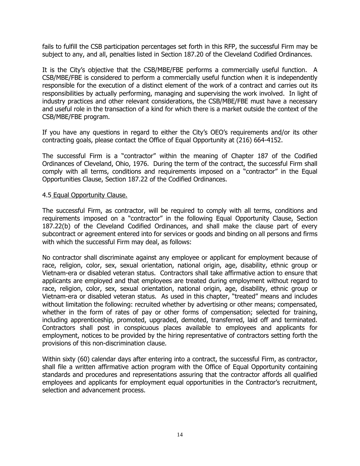fails to fulfill the CSB participation percentages set forth in this RFP, the successful Firm may be subject to any, and all, penalties listed in Section 187.20 of the Cleveland Codified Ordinances.

It is the City's objective that the CSB/MBE/FBE performs a commercially useful function. A CSB/MBE/FBE is considered to perform a commercially useful function when it is independently responsible for the execution of a distinct element of the work of a contract and carries out its responsibilities by actually performing, managing and supervising the work involved. In light of industry practices and other relevant considerations, the CSB/MBE/FBE must have a necessary and useful role in the transaction of a kind for which there is a market outside the context of the CSB/MBE/FBE program.

If you have any questions in regard to either the City's OEO's requirements and/or its other contracting goals, please contact the Office of Equal Opportunity at (216) 664-4152.

The successful Firm is a "contractor" within the meaning of Chapter 187 of the Codified Ordinances of Cleveland, Ohio, 1976. During the term of the contract, the successful Firm shall comply with all terms, conditions and requirements imposed on a "contractor" in the Equal Opportunities Clause, Section 187.22 of the Codified Ordinances.

#### 4.5 Equal Opportunity Clause.

The successful Firm, as contractor, will be required to comply with all terms, conditions and requirements imposed on a "contractor" in the following Equal Opportunity Clause, Section 187.22(b) of the Cleveland Codified Ordinances, and shall make the clause part of every subcontract or agreement entered into for services or goods and binding on all persons and firms with which the successful Firm may deal, as follows:

No contractor shall discriminate against any employee or applicant for employment because of race, religion, color, sex, sexual orientation, national origin, age, disability, ethnic group or Vietnam-era or disabled veteran status. Contractors shall take affirmative action to ensure that applicants are employed and that employees are treated during employment without regard to race, religion, color, sex, sexual orientation, national origin, age, disability, ethnic group or Vietnam-era or disabled veteran status. As used in this chapter, "treated" means and includes without limitation the following: recruited whether by advertising or other means; compensated, whether in the form of rates of pay or other forms of compensation; selected for training, including apprenticeship, promoted, upgraded, demoted, transferred, laid off and terminated. Contractors shall post in conspicuous places available to employees and applicants for employment, notices to be provided by the hiring representative of contractors setting forth the provisions of this non-discrimination clause.

Within sixty (60) calendar days after entering into a contract, the successful Firm, as contractor, shall file a written affirmative action program with the Office of Equal Opportunity containing standards and procedures and representations assuring that the contractor affords all qualified employees and applicants for employment equal opportunities in the Contractor's recruitment, selection and advancement process.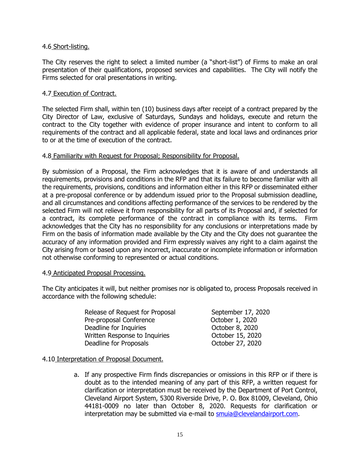#### 4.6 Short-listing.

The City reserves the right to select a limited number (a "short-list") of Firms to make an oral presentation of their qualifications, proposed services and capabilities. The City will notify the Firms selected for oral presentations in writing.

## 4.7 Execution of Contract.

The selected Firm shall, within ten (10) business days after receipt of a contract prepared by the City Director of Law, exclusive of Saturdays, Sundays and holidays, execute and return the contract to the City together with evidence of proper insurance and intent to conform to all requirements of the contract and all applicable federal, state and local laws and ordinances prior to or at the time of execution of the contract.

#### 4.8 Familiarity with Request for Proposal; Responsibility for Proposal.

By submission of a Proposal, the Firm acknowledges that it is aware of and understands all requirements, provisions and conditions in the RFP and that its failure to become familiar with all the requirements, provisions, conditions and information either in this RFP or disseminated either at a pre-proposal conference or by addendum issued prior to the Proposal submission deadline, and all circumstances and conditions affecting performance of the services to be rendered by the selected Firm will not relieve it from responsibility for all parts of its Proposal and, if selected for a contract, its complete performance of the contract in compliance with its terms. Firm acknowledges that the City has no responsibility for any conclusions or interpretations made by Firm on the basis of information made available by the City and the City does not guarantee the accuracy of any information provided and Firm expressly waives any right to a claim against the City arising from or based upon any incorrect, inaccurate or incomplete information or information not otherwise conforming to represented or actual conditions.

#### 4.9 Anticipated Proposal Processing.

The City anticipates it will, but neither promises nor is obligated to, process Proposals received in accordance with the following schedule:

| Release of Request for Proposal | September 17, 2020 |
|---------------------------------|--------------------|
| Pre-proposal Conference         | October 1, 2020    |
| Deadline for Inquiries          | October 8, 2020    |
| Written Response to Inquiries   | October 15, 2020   |
| Deadline for Proposals          | October 27, 2020   |

#### 4.10 Interpretation of Proposal Document.

a. If any prospective Firm finds discrepancies or omissions in this RFP or if there is doubt as to the intended meaning of any part of this RFP, a written request for clarification or interpretation must be received by the Department of Port Control, Cleveland Airport System, 5300 Riverside Drive, P. O. Box 81009, Cleveland, Ohio 44181-0009 no later than October 8, 2020. Requests for clarification or interpretation may be submitted via e-mail to [smuia@clevelandairport.com.](mailto:smuia@clevelandairport.com)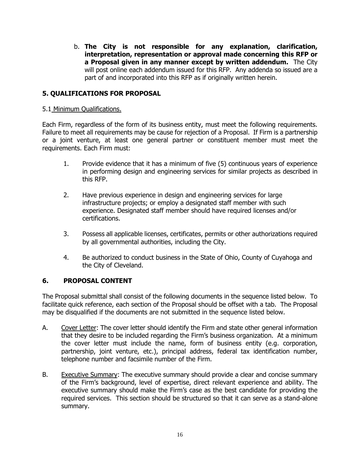b. **The City is not responsible for any explanation, clarification, interpretation, representation or approval made concerning this RFP or a Proposal given in any manner except by written addendum.** The City will post online each addendum issued for this RFP. Any addenda so issued are a part of and incorporated into this RFP as if originally written herein.

# **5. QUALIFICATIONS FOR PROPOSAL**

#### 5.1 Minimum Qualifications.

Each Firm, regardless of the form of its business entity, must meet the following requirements. Failure to meet all requirements may be cause for rejection of a Proposal. If Firm is a partnership or a joint venture, at least one general partner or constituent member must meet the requirements. Each Firm must:

- 1. Provide evidence that it has a minimum of five (5) continuous years of experience in performing design and engineering services for similar projects as described in this RFP.
- 2. Have previous experience in design and engineering services for large infrastructure projects; or employ a designated staff member with such experience. Designated staff member should have required licenses and/or certifications.
- 3. Possess all applicable licenses, certificates, permits or other authorizations required by all governmental authorities, including the City.
- 4. Be authorized to conduct business in the State of Ohio, County of Cuyahoga and the City of Cleveland.

# **6. PROPOSAL CONTENT**

The Proposal submittal shall consist of the following documents in the sequence listed below. To facilitate quick reference, each section of the Proposal should be offset with a tab. The Proposal may be disqualified if the documents are not submitted in the sequence listed below.

- A. Cover Letter: The cover letter should identify the Firm and state other general information that they desire to be included regarding the Firm's business organization. At a minimum the cover letter must include the name, form of business entity (e.g. corporation, partnership, joint venture, etc.), principal address, federal tax identification number, telephone number and facsimile number of the Firm.
- B. Executive Summary: The executive summary should provide a clear and concise summary of the Firm's background, level of expertise, direct relevant experience and ability. The executive summary should make the Firm's case as the best candidate for providing the required services. This section should be structured so that it can serve as a stand-alone summary.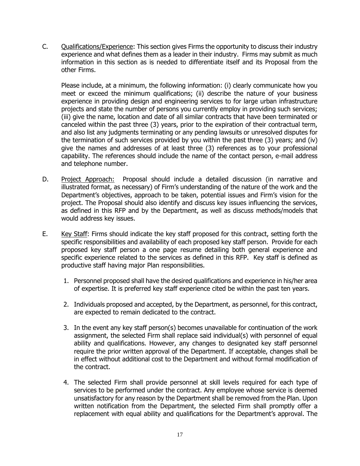C. Qualifications/Experience: This section gives Firms the opportunity to discuss their industry experience and what defines them as a leader in their industry. Firms may submit as much information in this section as is needed to differentiate itself and its Proposal from the other Firms.

Please include, at a minimum, the following information: (i) clearly communicate how you meet or exceed the minimum qualifications; (ii) describe the nature of your business experience in providing design and engineering services to for large urban infrastructure projects and state the number of persons you currently employ in providing such services; (iii) give the name, location and date of all similar contracts that have been terminated or canceled within the past three (3) years, prior to the expiration of their contractual term, and also list any judgments terminating or any pending lawsuits or unresolved disputes for the termination of such services provided by you within the past three (3) years; and (iv) give the names and addresses of at least three (3) references as to your professional capability. The references should include the name of the contact person, e-mail address and telephone number.

- D. Project Approach: Proposal should include a detailed discussion (in narrative and illustrated format, as necessary) of Firm's understanding of the nature of the work and the Department's objectives, approach to be taken, potential issues and Firm's vision for the project. The Proposal should also identify and discuss key issues influencing the services, as defined in this RFP and by the Department, as well as discuss methods/models that would address key issues.
- E. Key Staff: Firms should indicate the key staff proposed for this contract, setting forth the specific responsibilities and availability of each proposed key staff person. Provide for each proposed key staff person a one page resume detailing both general experience and specific experience related to the services as defined in this RFP. Key staff is defined as productive staff having major Plan responsibilities.
	- 1. Personnel proposed shall have the desired qualifications and experience in his/her area of expertise. It is preferred key staff experience cited be within the past ten years.
	- 2. Individuals proposed and accepted, by the Department, as personnel, for this contract, are expected to remain dedicated to the contract.
	- 3. In the event any key staff person(s) becomes unavailable for continuation of the work assignment, the selected Firm shall replace said individual(s) with personnel of equal ability and qualifications. However, any changes to designated key staff personnel require the prior written approval of the Department. If acceptable, changes shall be in effect without additional cost to the Department and without formal modification of the contract.
	- 4. The selected Firm shall provide personnel at skill levels required for each type of services to be performed under the contract. Any employee whose service is deemed unsatisfactory for any reason by the Department shall be removed from the Plan. Upon written notification from the Department, the selected Firm shall promptly offer a replacement with equal ability and qualifications for the Department's approval. The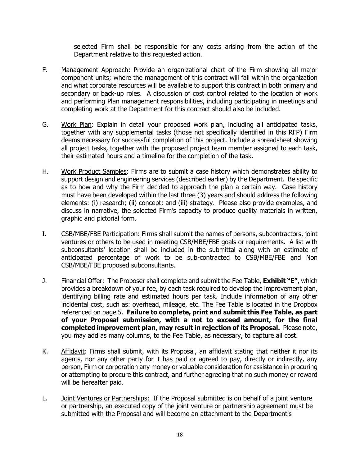selected Firm shall be responsible for any costs arising from the action of the Department relative to this requested action.

- F. Management Approach: Provide an organizational chart of the Firm showing all major component units; where the management of this contract will fall within the organization and what corporate resources will be available to support this contract in both primary and secondary or back-up roles. A discussion of cost control related to the location of work and performing Plan management responsibilities, including participating in meetings and completing work at the Department for this contract should also be included.
- G. Work Plan: Explain in detail your proposed work plan, including all anticipated tasks, together with any supplemental tasks (those not specifically identified in this RFP) Firm deems necessary for successful completion of this project. Include a spreadsheet showing all project tasks, together with the proposed project team member assigned to each task, their estimated hours and a timeline for the completion of the task.
- H. Work Product Samples: Firms are to submit a case history which demonstrates ability to support design and engineering services (described earlier) by the Department. Be specific as to how and why the Firm decided to approach the plan a certain way. Case history must have been developed within the last three (3) years and should address the following elements: (i) research; (ii) concept; and (iii) strategy. Please also provide examples, and discuss in narrative, the selected Firm's capacity to produce quality materials in written, graphic and pictorial form.
- I. CSB/MBE/FBE Participation: Firms shall submit the names of persons, subcontractors, joint ventures or others to be used in meeting CSB/MBE/FBE goals or requirements. A list with subconsultants' location shall be included in the submittal along with an estimate of anticipated percentage of work to be sub-contracted to CSB/MBE/FBE and Non CSB/MBE/FBE proposed subconsultants.
- J. Financial Offer: The Proposer shall complete and submit the Fee Table, **Exhibit "E"**, which provides a breakdown of your fee, by each task required to develop the improvement plan, identifying billing rate and estimated hours per task. Include information of any other incidental cost, such as: overhead, mileage, etc. The Fee Table is located in the Dropbox referenced on page 5. **Failure to complete, print and submit this Fee Table, as part of your Proposal submission, with a not to exceed amount, for the final completed improvement plan, may result in rejection of its Proposal.** Please note, you may add as many columns, to the Fee Table, as necessary, to capture all cost.
- K. Affidavit: Firms shall submit, with its Proposal, an affidavit stating that neither it nor its agents, nor any other party for it has paid or agreed to pay, directly or indirectly, any person, Firm or corporation any money or valuable consideration for assistance in procuring or attempting to procure this contract, and further agreeing that no such money or reward will be hereafter paid.
- L. Joint Ventures or Partnerships: If the Proposal submitted is on behalf of a joint venture or partnership, an executed copy of the joint venture or partnership agreement must be submitted with the Proposal and will become an attachment to the Department's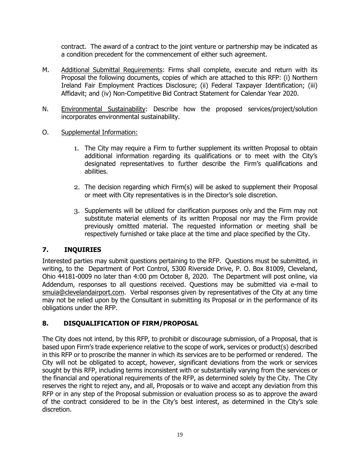contract. The award of a contract to the joint venture or partnership may be indicated as a condition precedent for the commencement of either such agreement.

- M. Additional Submittal Requirements: Firms shall complete, execute and return with its Proposal the following documents, copies of which are attached to this RFP: (i) Northern Ireland Fair Employment Practices Disclosure; (ii) Federal Taxpayer Identification; (iii) Affidavit; and (iv) Non-Competitive Bid Contract Statement for Calendar Year 2020.
- N. Environmental Sustainability: Describe how the proposed services/project/solution incorporates environmental sustainability.
- O. Supplemental Information:
	- 1. The City may require a Firm to further supplement its written Proposal to obtain additional information regarding its qualifications or to meet with the City's designated representatives to further describe the Firm's qualifications and abilities.
	- 2. The decision regarding which Firm(s) will be asked to supplement their Proposal or meet with City representatives is in the Director's sole discretion.
	- 3. Supplements will be utilized for clarification purposes only and the Firm may not substitute material elements of its written Proposal nor may the Firm provide previously omitted material. The requested information or meeting shall be respectively furnished or take place at the time and place specified by the City.

# **7. INQUIRIES**

Interested parties may submit questions pertaining to the RFP. Questions must be submitted, in writing, to the Department of Port Control, 5300 Riverside Drive, P. O. Box 81009, Cleveland, Ohio 44181-0009 no later than 4:00 pm October 8, 2020. The Department will post online, via Addendum, responses to all questions received. Questions may be submitted via e-mail to smuia@clevelandairport.com. Verbal responses given by representatives of the City at any time may not be relied upon by the Consultant in submitting its Proposal or in the performance of its obligations under the RFP.

# **8. DISQUALIFICATION OF FIRM/PROPOSAL**

The City does not intend, by this RFP, to prohibit or discourage submission, of a Proposal, that is based upon Firm's trade experience relative to the scope of work, services or product(s) described in this RFP or to proscribe the manner in which its services are to be performed or rendered. The City will not be obligated to accept, however, significant deviations from the work or services sought by this RFP, including terms inconsistent with or substantially varying from the services or the financial and operational requirements of the RFP, as determined solely by the City. The City reserves the right to reject any, and all, Proposals or to waive and accept any deviation from this RFP or in any step of the Proposal submission or evaluation process so as to approve the award of the contract considered to be in the City's best interest, as determined in the City's sole discretion.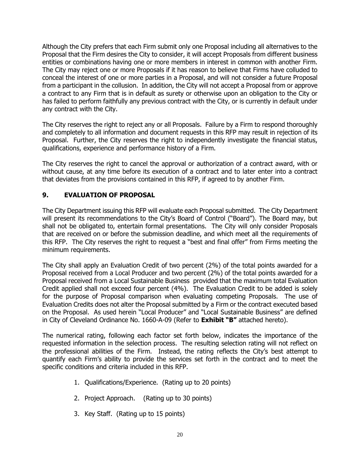Although the City prefers that each Firm submit only one Proposal including all alternatives to the Proposal that the Firm desires the City to consider, it will accept Proposals from different business entities or combinations having one or more members in interest in common with another Firm. The City may reject one or more Proposals if it has reason to believe that Firms have colluded to conceal the interest of one or more parties in a Proposal, and will not consider a future Proposal from a participant in the collusion. In addition, the City will not accept a Proposal from or approve a contract to any Firm that is in default as surety or otherwise upon an obligation to the City or has failed to perform faithfully any previous contract with the City, or is currently in default under any contract with the City.

The City reserves the right to reject any or all Proposals. Failure by a Firm to respond thoroughly and completely to all information and document requests in this RFP may result in rejection of its Proposal. Further, the City reserves the right to independently investigate the financial status, qualifications, experience and performance history of a Firm.

The City reserves the right to cancel the approval or authorization of a contract award, with or without cause, at any time before its execution of a contract and to later enter into a contract that deviates from the provisions contained in this RFP, if agreed to by another Firm.

# **9. EVALUATION OF PROPOSAL**

The City Department issuing this RFP will evaluate each Proposal submitted. The City Department will present its recommendations to the City's Board of Control ("Board"). The Board may, but shall not be obligated to, entertain formal presentations. The City will only consider Proposals that are received on or before the submission deadline, and which meet all the requirements of this RFP. The City reserves the right to request a "best and final offer" from Firms meeting the minimum requirements.

The City shall apply an Evaluation Credit of two percent (2%) of the total points awarded for a Proposal received from a Local Producer and two percent (2%) of the total points awarded for a Proposal received from a Local Sustainable Business provided that the maximum total Evaluation Credit applied shall not exceed four percent (4%). The Evaluation Credit to be added is solely for the purpose of Proposal comparison when evaluating competing Proposals. The use of Evaluation Credits does not alter the Proposal submitted by a Firm or the contract executed based on the Proposal. As used herein "Local Producer" and "Local Sustainable Business" are defined in City of Cleveland Ordinance No. 1660-A-09 (Refer to **Exhibit "B"** attached hereto).

The numerical rating, following each factor set forth below, indicates the importance of the requested information in the selection process. The resulting selection rating will not reflect on the professional abilities of the Firm. Instead, the rating reflects the City's best attempt to quantify each Firm's ability to provide the services set forth in the contract and to meet the specific conditions and criteria included in this RFP.

- 1. Qualifications/Experience. (Rating up to 20 points)
- 2. Project Approach. (Rating up to 30 points)
- 3. Key Staff. (Rating up to 15 points)